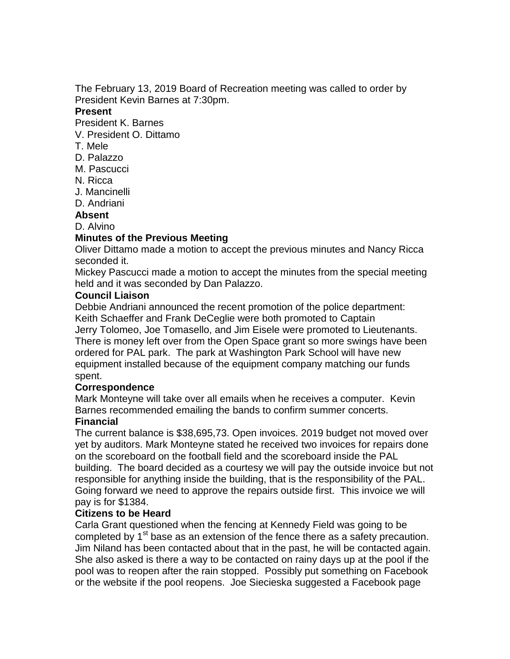The February 13, 2019 Board of Recreation meeting was called to order by President Kevin Barnes at 7:30pm.

#### **Present**

President K. Barnes

- V. President O. Dittamo
- T. Mele
- D. Palazzo
- M. Pascucci
- N. Ricca
- J. Mancinelli
- D. Andriani

#### **Absent**

D. Alvino

#### **Minutes of the Previous Meeting**

Oliver Dittamo made a motion to accept the previous minutes and Nancy Ricca seconded it.

Mickey Pascucci made a motion to accept the minutes from the special meeting held and it was seconded by Dan Palazzo.

#### **Council Liaison**

Debbie Andriani announced the recent promotion of the police department: Keith Schaeffer and Frank DeCeglie were both promoted to Captain Jerry Tolomeo, Joe Tomasello, and Jim Eisele were promoted to Lieutenants. There is money left over from the Open Space grant so more swings have been ordered for PAL park. The park at Washington Park School will have new equipment installed because of the equipment company matching our funds spent.

#### **Correspondence**

Mark Monteyne will take over all emails when he receives a computer. Kevin Barnes recommended emailing the bands to confirm summer concerts.

# **Financial**

The current balance is \$38,695,73. Open invoices. 2019 budget not moved over yet by auditors. Mark Monteyne stated he received two invoices for repairs done on the scoreboard on the football field and the scoreboard inside the PAL building. The board decided as a courtesy we will pay the outside invoice but not responsible for anything inside the building, that is the responsibility of the PAL. Going forward we need to approve the repairs outside first. This invoice we will pay is for \$1384.

# **Citizens to be Heard**

Carla Grant questioned when the fencing at Kennedy Field was going to be completed by  $1<sup>st</sup>$  base as an extension of the fence there as a safety precaution. Jim Niland has been contacted about that in the past, he will be contacted again. She also asked is there a way to be contacted on rainy days up at the pool if the pool was to reopen after the rain stopped. Possibly put something on Facebook or the website if the pool reopens. Joe Siecieska suggested a Facebook page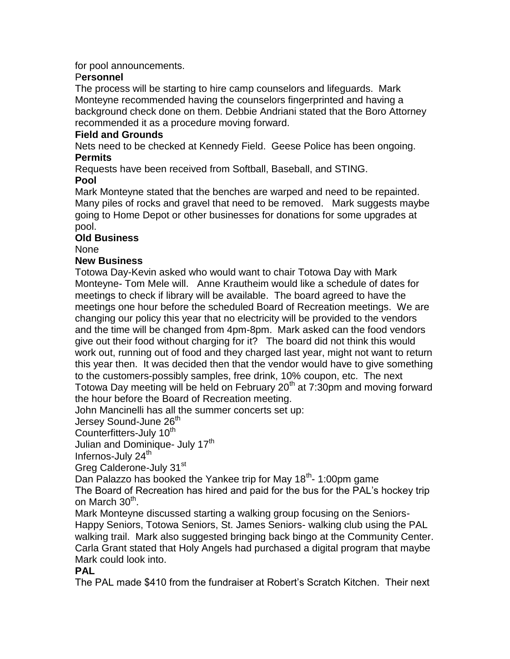for pool announcements.

# P**ersonnel**

The process will be starting to hire camp counselors and lifeguards. Mark Monteyne recommended having the counselors fingerprinted and having a background check done on them. Debbie Andriani stated that the Boro Attorney recommended it as a procedure moving forward.

# **Field and Grounds**

Nets need to be checked at Kennedy Field. Geese Police has been ongoing. **Permits**

Requests have been received from Softball, Baseball, and STING.

# **Pool**

Mark Monteyne stated that the benches are warped and need to be repainted. Many piles of rocks and gravel that need to be removed. Mark suggests maybe going to Home Depot or other businesses for donations for some upgrades at pool.

# **Old Business**

None

# **New Business**

Totowa Day-Kevin asked who would want to chair Totowa Day with Mark Monteyne- Tom Mele will. Anne Krautheim would like a schedule of dates for meetings to check if library will be available. The board agreed to have the meetings one hour before the scheduled Board of Recreation meetings. We are changing our policy this year that no electricity will be provided to the vendors and the time will be changed from 4pm-8pm. Mark asked can the food vendors give out their food without charging for it? The board did not think this would work out, running out of food and they charged last year, might not want to return this year then. It was decided then that the vendor would have to give something to the customers-possibly samples, free drink, 10% coupon, etc. The next Totowa Day meeting will be held on February  $20<sup>th</sup>$  at 7:30pm and moving forward the hour before the Board of Recreation meeting.

John Mancinelli has all the summer concerts set up:

Jersey Sound-June 26<sup>th</sup>

Counterfitters-July 10<sup>th</sup>

Julian and Dominique- July 17<sup>th</sup>

Infernos-July 24<sup>th</sup>

Greg Calderone-July 31st

Dan Palazzo has booked the Yankee trip for May 18<sup>th</sup>- 1:00pm game

The Board of Recreation has hired and paid for the bus for the PAL's hockey trip on March 30<sup>th</sup>.

Mark Monteyne discussed starting a walking group focusing on the Seniors-Happy Seniors, Totowa Seniors, St. James Seniors- walking club using the PAL walking trail. Mark also suggested bringing back bingo at the Community Center. Carla Grant stated that Holy Angels had purchased a digital program that maybe Mark could look into.

# **PAL**

The PAL made \$410 from the fundraiser at Robert's Scratch Kitchen. Their next